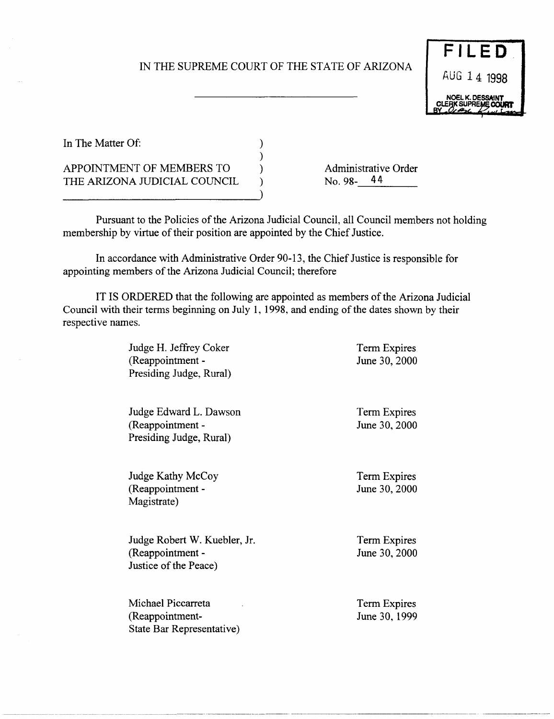## IN THE SUPREME COURT OF THE STATE OF ARIZONA



In The Matter Of:

APPOINTMENT OF MEMBERS TO THE ARIZONA JUDICIAL COUNCIL Administrative Order<br>No. 98-14

Pursuant to the Policies of the Arizona Judicial Council, all Council members not holding membership by virtue of their position are appointed by the Chief Justice.

In accordance with Administrative Order 90-13, the Chief Justice is responsible for appointing members of the Arizona Judicial Council; therefore

) ) ) ) )

IT IS ORDERED that the following are appointed as members of the Arizona Judicial Council with their terms beginning on July 1, 1998, and ending of the dates shown by their respective names.

> Judge H. Jeffrey Coker (Reappointment - Presiding Judge, Rural)

Judge Edward L. Dawson (Reappointment - Presiding Judge, Rural)

Judge Kathy McCoy (Reappointment - Magistrate)

Judge Robert W. Kuebler, Jr. (Reappointment - Justice of the Peace)

Michael Piccarreta (Reappointment - State Bar Representative)

~--------- -- -~---- -~~----~ -~----~---~~-~---~---------~~-~~------.-------- -----------

Term Expires June 30, 2000

Term Expires June 30, 2000

Term Expires June 30, 2000

Term Expires June 30, 2000

Term Expires June 30, 1999